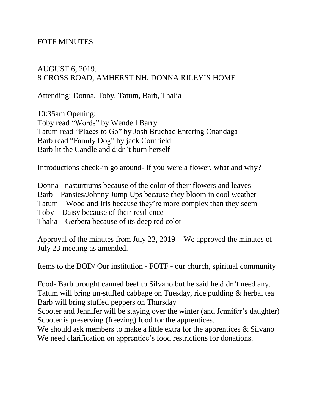## FOTF MINUTES

## AUGUST 6, 2019. 8 CROSS ROAD, AMHERST NH, DONNA RILEY'S HOME

Attending: Donna, Toby, Tatum, Barb, Thalia

10:35am Opening: Toby read "Words" by Wendell Barry Tatum read "Places to Go" by Josh Bruchac Entering Onandaga Barb read "Family Dog" by jack Cornfield Barb lit the Candle and didn't burn herself

#### Introductions check-in go around- If you were a flower, what and why?

Donna - nasturtiums because of the color of their flowers and leaves Barb – Pansies/Johnny Jump Ups because they bloom in cool weather Tatum – Woodland Iris because they're more complex than they seem Toby – Daisy because of their resilience Thalia – Gerbera because of its deep red color

Approval of the minutes from July 23, 2019 - We approved the minutes of July 23 meeting as amended.

Items to the BOD/ Our institution - FOTF - our church, spiritual community

Food- Barb brought canned beef to Silvano but he said he didn't need any. Tatum will bring un-stuffed cabbage on Tuesday, rice pudding & herbal tea Barb will bring stuffed peppers on Thursday

Scooter and Jennifer will be staying over the winter (and Jennifer's daughter) Scooter is preserving (freezing) food for the apprentices.

We should ask members to make a little extra for the apprentices & Silvano We need clarification on apprentice's food restrictions for donations.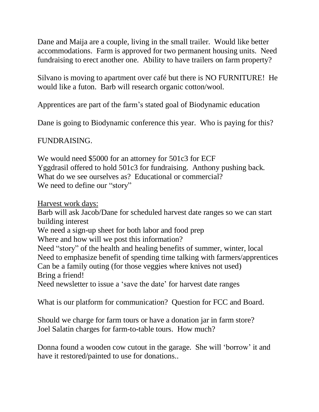Dane and Maija are a couple, living in the small trailer. Would like better accommodations. Farm is approved for two permanent housing units. Need fundraising to erect another one. Ability to have trailers on farm property?

Silvano is moving to apartment over café but there is NO FURNITURE! He would like a futon. Barb will research organic cotton/wool.

Apprentices are part of the farm's stated goal of Biodynamic education

Dane is going to Biodynamic conference this year. Who is paying for this?

# FUNDRAISING.

We would need \$5000 for an attorney for 501c3 for ECF Yggdrasil offered to hold 501c3 for fundraising. Anthony pushing back. What do we see ourselves as? Educational or commercial? We need to define our "story"

Harvest work days:

Barb will ask Jacob/Dane for scheduled harvest date ranges so we can start building interest

We need a sign-up sheet for both labor and food prep

Where and how will we post this information?

Need "story" of the health and healing benefits of summer, winter, local Need to emphasize benefit of spending time talking with farmers/apprentices Can be a family outing (for those veggies where knives not used) Bring a friend!

Need newsletter to issue a 'save the date' for harvest date ranges

What is our platform for communication? Question for FCC and Board.

Should we charge for farm tours or have a donation jar in farm store? Joel Salatin charges for farm-to-table tours. How much?

Donna found a wooden cow cutout in the garage. She will 'borrow' it and have it restored/painted to use for donations..